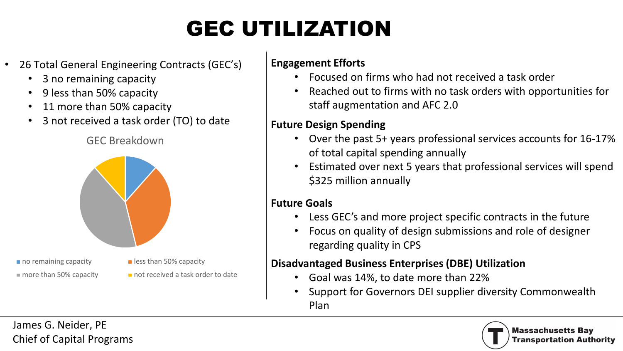### GEC UTILIZATION

- 26 Total General Engineering Contracts (GEC's)
	- 3 no remaining capacity
	- 9 less than 50% capacity
	- 11 more than 50% capacity
	- 3 not received a task order (TO) to date

GEC Breakdown



no remaining capacity **and suppress than 50% capacity** ■ more than 50% capacity **■** not received a task order to date

#### **Engagement Efforts**

- Focused on firms who had not received a task order
- Reached out to firms with no task orders with opportunities for staff augmentation and AFC 2.0

#### **Future Design Spending**

- Over the past 5+ years professional services accounts for 16-17% of total capital spending annually
- Estimated over next 5 years that professional services will spend \$325 million annually

#### **Future Goals**

- Less GEC's and more project specific contracts in the future
- Focus on quality of design submissions and role of designer regarding quality in CPS

#### **Disadvantaged Business Enterprises (DBE) Utilization**

- Goal was 14%, to date more than 22%
- Support for Governors DEI supplier diversity Commonwealth Plan



James G. Neider, PE Chief of Capital Programs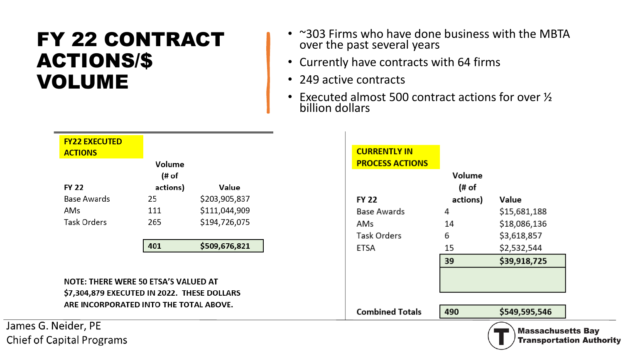### FY 22 CONTRACT ACTIONS/\$ VOLUME

- ~303 Firms who have done business with the MBTA over the past several years
- Currently have contracts with 64 firms
- 249 active contracts
- Executed almost 500 contract actions for over ½ billion dollars

| <b>FY22 EXECUTED</b><br><b>ACTIONS</b>      |          |               | <b>CURRENTLY IN</b>    |          |                                 |
|---------------------------------------------|----------|---------------|------------------------|----------|---------------------------------|
|                                             | Volume   |               | <b>PROCESS ACTIONS</b> |          |                                 |
|                                             | (# of    |               |                        | Volume   |                                 |
| <b>FY 22</b>                                | actions) | Value         |                        | (# of    |                                 |
| <b>Base Awards</b>                          | 25       | \$203,905,837 | <b>FY 22</b>           | actions) | Value                           |
| AMs                                         | 111      | \$111,044,909 | <b>Base Awards</b>     | 4        | \$15,681,188                    |
| <b>Task Orders</b>                          | 265      | \$194,726,075 | AMs                    | 14       | \$18,086,136                    |
|                                             |          |               | <b>Task Orders</b>     | 6        | \$3,618,857                     |
|                                             | 401      | \$509,676,821 | ETSA                   | 15       | \$2,532,544                     |
|                                             |          |               |                        | 39       | \$39,918,725                    |
| NOTE: THERE WERE 50 ETSA'S VALUED AT        |          |               |                        |          |                                 |
| \$7,304,879 EXECUTED IN 2022. THESE DOLLARS |          |               |                        |          |                                 |
| ARE INCORPORATED INTO THE TOTAL ABOVE.      |          |               | <b>Combined Totals</b> | 490      | \$549,595,546                   |
| James G. Neider, PE                         |          |               |                        |          | <b>Massachusetts Bay</b>        |
| <b>Chief of Capital Programs</b>            |          |               |                        |          | <b>Transportation Authority</b> |